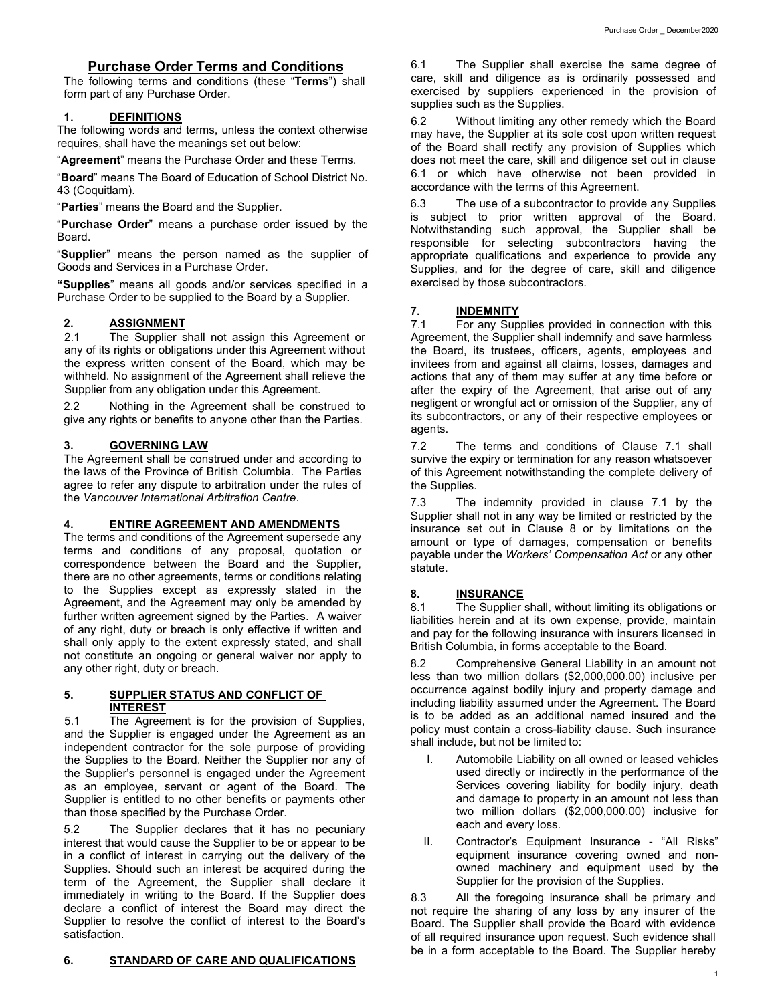## **Purchase Order Terms and Conditions**

The following terms and conditions (these "**Terms**") shall form part of any Purchase Order.

### **1. DEFINITIONS**

The following words and terms, unless the context otherwise requires, shall have the meanings set out below:

"**Agreement**" means the Purchase Order and these Terms.

"**Board**" means The Board of Education of School District No. 43 (Coquitlam).

"**Parties**" means the Board and the Supplier.

"**Purchase Order**" means a purchase order issued by the Board.

"**Supplier**" means the person named as the supplier of Goods and Services in a Purchase Order.

**"Supplies**" means all goods and/or services specified in a Purchase Order to be supplied to the Board by a Supplier.

# **2. ASSIGNMENT**<br>2.1 The Supplier s

The Supplier shall not assign this Agreement or any of its rights or obligations under this Agreement without the express written consent of the Board, which may be withheld. No assignment of the Agreement shall relieve the Supplier from any obligation under this Agreement.

2.2 Nothing in the Agreement shall be construed to give any rights or benefits to anyone other than the Parties.

### **3. GOVERNING LAW**

The Agreement shall be construed under and according to the laws of the Province of British Columbia. The Parties agree to refer any dispute to arbitration under the rules of the *Vancouver International Arbitration Centre*.

## **4. ENTIRE AGREEMENT AND AMENDMENTS**

The terms and conditions of the Agreement supersede any terms and conditions of any proposal, quotation or correspondence between the Board and the Supplier, there are no other agreements, terms or conditions relating to the Supplies except as expressly stated in the Agreement, and the Agreement may only be amended by further written agreement signed by the Parties. A waiver of any right, duty or breach is only effective if written and shall only apply to the extent expressly stated, and shall not constitute an ongoing or general waiver nor apply to any other right, duty or breach.

#### **5. SUPPLIER STATUS AND CONFLICT OF INTEREST**

5.1 The Agreement is for the provision of Supplies, and the Supplier is engaged under the Agreement as an independent contractor for the sole purpose of providing the Supplies to the Board. Neither the Supplier nor any of the Supplier's personnel is engaged under the Agreement as an employee, servant or agent of the Board. The Supplier is entitled to no other benefits or payments other than those specified by the Purchase Order.

5.2 The Supplier declares that it has no pecuniary interest that would cause the Supplier to be or appear to be in a conflict of interest in carrying out the delivery of the Supplies. Should such an interest be acquired during the term of the Agreement, the Supplier shall declare it immediately in writing to the Board. If the Supplier does declare a conflict of interest the Board may direct the Supplier to resolve the conflict of interest to the Board's satisfaction.

6.1 The Supplier shall exercise the same degree of care, skill and diligence as is ordinarily possessed and exercised by suppliers experienced in the provision of supplies such as the Supplies.

6.2 Without limiting any other remedy which the Board may have, the Supplier at its sole cost upon written request of the Board shall rectify any provision of Supplies which does not meet the care, skill and diligence set out in clause 6.1 or which have otherwise not been provided in accordance with the terms of this Agreement.

6.3 The use of a subcontractor to provide any Supplies is subject to prior written approval of the Board. Notwithstanding such approval, the Supplier shall be responsible for selecting subcontractors having the appropriate qualifications and experience to provide any Supplies, and for the degree of care, skill and diligence exercised by those subcontractors.

# **7. INDEMNITY**<br>7.1 For any Sup

For any Supplies provided in connection with this Agreement, the Supplier shall indemnify and save harmless the Board, its trustees, officers, agents, employees and invitees from and against all claims, losses, damages and actions that any of them may suffer at any time before or after the expiry of the Agreement, that arise out of any negligent or wrongful act or omission of the Supplier, any of its subcontractors, or any of their respective employees or agents.

7.2 The terms and conditions of Clause 7.1 shall survive the expiry or termination for any reason whatsoever of this Agreement notwithstanding the complete delivery of the Supplies.

7.3 The indemnity provided in clause 7.1 by the Supplier shall not in any way be limited or restricted by the insurance set out in Clause 8 or by limitations on the amount or type of damages, compensation or benefits payable under the *Workers' Compensation Act* or any other statute.

#### **8. INSURANCE**

8.1 The Supplier shall, without limiting its obligations or liabilities herein and at its own expense, provide, maintain and pay for the following insurance with insurers licensed in British Columbia, in forms acceptable to the Board.

8.2 Comprehensive General Liability in an amount not less than two million dollars (\$2,000,000.00) inclusive per occurrence against bodily injury and property damage and including liability assumed under the Agreement. The Board is to be added as an additional named insured and the policy must contain a cross-liability clause. Such insurance shall include, but not be limited to:

- Automobile Liability on all owned or leased vehicles used directly or indirectly in the performance of the Services covering liability for bodily injury, death and damage to property in an amount not less than two million dollars (\$2,000,000.00) inclusive for each and every loss.
- II. Contractor's Equipment Insurance "All Risks" equipment insurance covering owned and nonowned machinery and equipment used by the Supplier for the provision of the Supplies.

8.3 All the foregoing insurance shall be primary and not require the sharing of any loss by any insurer of the Board. The Supplier shall provide the Board with evidence of all required insurance upon request. Such evidence shall be in a form acceptable to the Board. The Supplier hereby